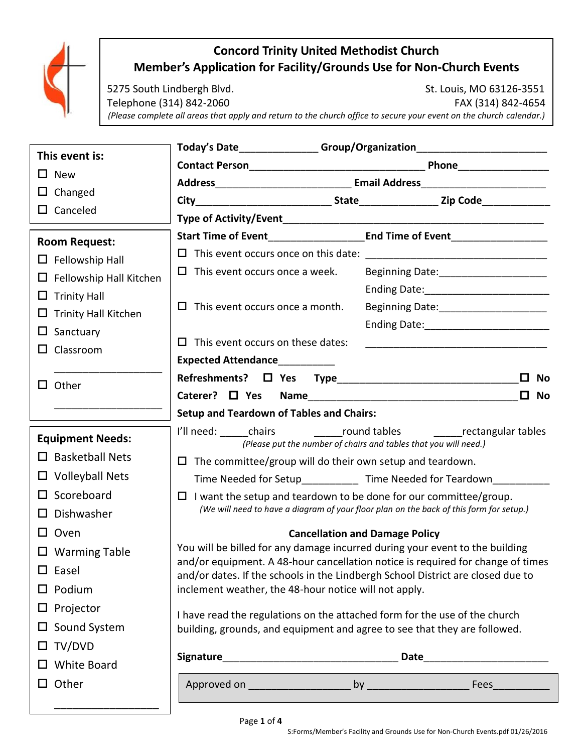

# **Concord Trinity United Methodist Church Member's Application for Facility/Grounds Use for Non-Church Events**

5275 South Lindbergh Blvd. St. Louis, MO 63126-3551 Telephone (314) 842-2060 FAX (314) 842-4654 *(Please complete all areas that apply and return to the church office to secure your event on the church calendar.)*

|                                | Today's Date________________Group/Organization__________________________________                                                                        |                                                                                         |  |
|--------------------------------|---------------------------------------------------------------------------------------------------------------------------------------------------------|-----------------------------------------------------------------------------------------|--|
| This event is:                 |                                                                                                                                                         |                                                                                         |  |
| $\square$ New                  |                                                                                                                                                         |                                                                                         |  |
| $\Box$ Changed                 |                                                                                                                                                         |                                                                                         |  |
| $\Box$ Canceled                |                                                                                                                                                         |                                                                                         |  |
| <b>Room Request:</b>           |                                                                                                                                                         |                                                                                         |  |
| $\Box$ Fellowship Hall         |                                                                                                                                                         |                                                                                         |  |
| $\Box$ Fellowship Hall Kitchen | $\Box$ This event occurs once a week.                                                                                                                   |                                                                                         |  |
| $\Box$ Trinity Hall            |                                                                                                                                                         |                                                                                         |  |
| $\Box$ Trinity Hall Kitchen    | $\Box$ This event occurs once a month.                                                                                                                  |                                                                                         |  |
| $\Box$ Sanctuary               |                                                                                                                                                         |                                                                                         |  |
| $\Box$ Classroom               | $\Box$ This event occurs on these dates:                                                                                                                |                                                                                         |  |
|                                | <b>Expected Attendance</b>                                                                                                                              |                                                                                         |  |
| $\Box$ Other                   |                                                                                                                                                         | $\Box$<br><b>No</b>                                                                     |  |
|                                |                                                                                                                                                         | $\square$ No                                                                            |  |
|                                | <b>Setup and Teardown of Tables and Chairs:</b>                                                                                                         |                                                                                         |  |
| <b>Equipment Needs:</b>        | (Please put the number of chairs and tables that you will need.)                                                                                        |                                                                                         |  |
| $\Box$ Basketball Nets         | $\Box$ The committee/group will do their own setup and teardown.                                                                                        |                                                                                         |  |
| $\Box$ Volleyball Nets         | Time Needed for Setup_____________ Time Needed for Teardown_____                                                                                        |                                                                                         |  |
| $\square$ Scoreboard           | I want the setup and teardown to be done for our committee/group.<br>ப                                                                                  |                                                                                         |  |
| $\square$ Dishwasher           |                                                                                                                                                         | (We will need to have a diagram of your floor plan on the back of this form for setup.) |  |
| $\square$ Oven                 | <b>Cancellation and Damage Policy</b>                                                                                                                   |                                                                                         |  |
| $\Box$ Warming Table           | You will be billed for any damage incurred during your event to the building                                                                            |                                                                                         |  |
| $\square$ Easel                |                                                                                                                                                         | and/or equipment. A 48-hour cancellation notice is required for change of times         |  |
| $\Box$ Podium                  | and/or dates. If the schools in the Lindbergh School District are closed due to<br>inclement weather, the 48-hour notice will not apply.                |                                                                                         |  |
| $\Box$ Projector               |                                                                                                                                                         |                                                                                         |  |
| $\Box$ Sound System            | I have read the regulations on the attached form for the use of the church<br>building, grounds, and equipment and agree to see that they are followed. |                                                                                         |  |
| $\Box$ TV/DVD                  |                                                                                                                                                         |                                                                                         |  |
| $\Box$ White Board             |                                                                                                                                                         |                                                                                         |  |
|                                |                                                                                                                                                         |                                                                                         |  |
| $\Box$ Other                   |                                                                                                                                                         |                                                                                         |  |
|                                |                                                                                                                                                         |                                                                                         |  |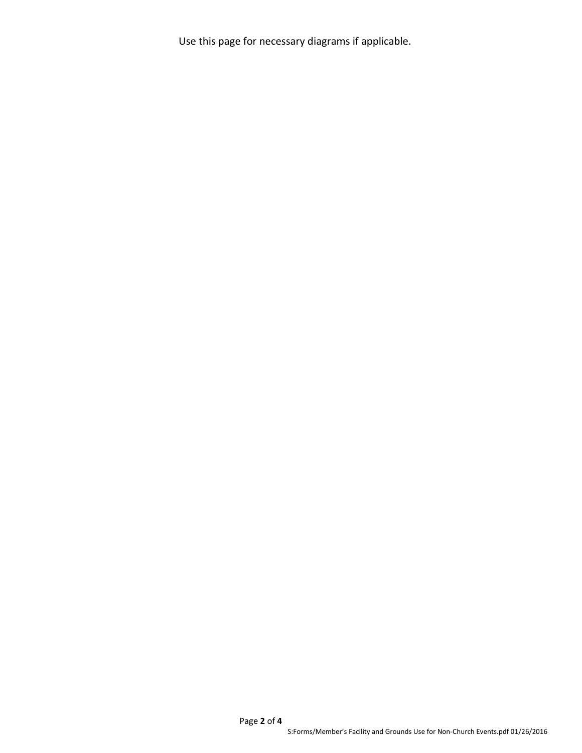Use this page for necessary diagrams if applicable.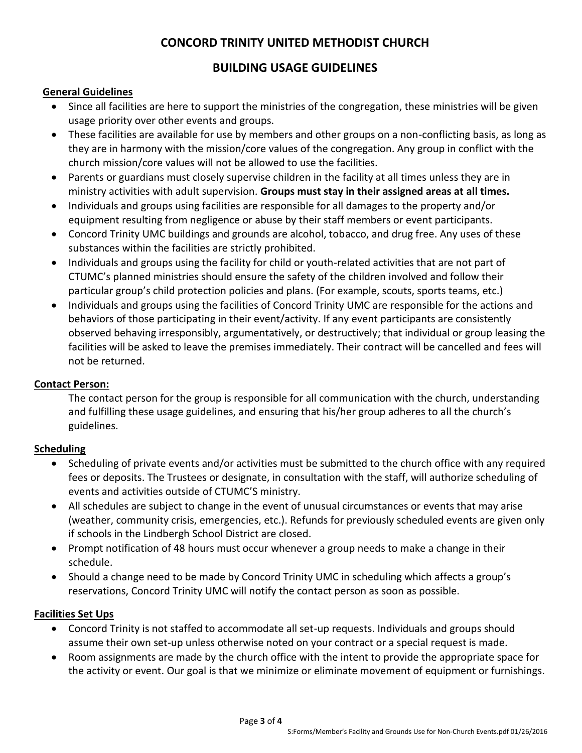## **CONCORD TRINITY UNITED METHODIST CHURCH**

## **BUILDING USAGE GUIDELINES**

### **General Guidelines**

- Since all facilities are here to support the ministries of the congregation, these ministries will be given usage priority over other events and groups.
- These facilities are available for use by members and other groups on a non-conflicting basis, as long as they are in harmony with the mission/core values of the congregation. Any group in conflict with the church mission/core values will not be allowed to use the facilities.
- Parents or guardians must closely supervise children in the facility at all times unless they are in ministry activities with adult supervision. **Groups must stay in their assigned areas at all times.**
- Individuals and groups using facilities are responsible for all damages to the property and/or equipment resulting from negligence or abuse by their staff members or event participants.
- Concord Trinity UMC buildings and grounds are alcohol, tobacco, and drug free. Any uses of these substances within the facilities are strictly prohibited.
- Individuals and groups using the facility for child or youth-related activities that are not part of CTUMC's planned ministries should ensure the safety of the children involved and follow their particular group's child protection policies and plans. (For example, scouts, sports teams, etc.)
- Individuals and groups using the facilities of Concord Trinity UMC are responsible for the actions and behaviors of those participating in their event/activity. If any event participants are consistently observed behaving irresponsibly, argumentatively, or destructively; that individual or group leasing the facilities will be asked to leave the premises immediately. Their contract will be cancelled and fees will not be returned.

## **Contact Person:**

The contact person for the group is responsible for all communication with the church, understanding and fulfilling these usage guidelines, and ensuring that his/her group adheres to all the church's guidelines.

## **Scheduling**

- Scheduling of private events and/or activities must be submitted to the church office with any required fees or deposits. The Trustees or designate, in consultation with the staff, will authorize scheduling of events and activities outside of CTUMC'S ministry.
- All schedules are subject to change in the event of unusual circumstances or events that may arise (weather, community crisis, emergencies, etc.). Refunds for previously scheduled events are given only if schools in the Lindbergh School District are closed.
- Prompt notification of 48 hours must occur whenever a group needs to make a change in their schedule.
- Should a change need to be made by Concord Trinity UMC in scheduling which affects a group's reservations, Concord Trinity UMC will notify the contact person as soon as possible.

#### **Facilities Set Ups**

- Concord Trinity is not staffed to accommodate all set-up requests. Individuals and groups should assume their own set-up unless otherwise noted on your contract or a special request is made.
- Room assignments are made by the church office with the intent to provide the appropriate space for the activity or event. Our goal is that we minimize or eliminate movement of equipment or furnishings.